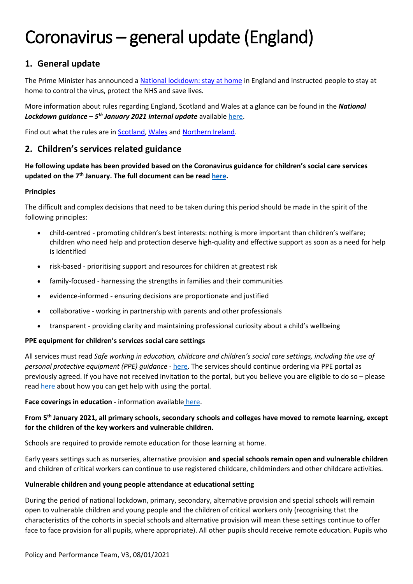## **1. General update**

The Prime Minister has announced a [National lockdown: stay at home](https://www.gov.uk/guidance/national-lockdown-stay-at-home) in England and instructed people to stay at home to control the virus, protect the NHS and save lives.

More information about rules regarding England, Scotland and Wales at a glance can be found in the *National Lockdown guidance – 5 th January 2021 internal update* availabl[e here.](https://covid19.caretech-uk.com/doc/National%20lockdown%20%20-%205th%20January%202021%20-%20Update%20-%20V2.pdf)

Find out what the rules are in [Scotland,](https://www.gov.scot/coronavirus-covid-19/) [Wales](https://gov.wales/coronavirus) and [Northern Ireland.](https://www.nidirect.gov.uk/campaigns/coronavirus-covid-19)

## **2. Children's services related guidance**

### **He following update has been provided based on the Coronavirus guidance for children's social care services updated on the 7th January. The full document can be read [here.](https://www.gov.uk/government/publications/coronavirus-covid-19-guidance-for-childrens-social-care-services/coronavirus-covid-19-guidance-for-local-authorities-on-childrens-social-care)**

### **Principles**

The difficult and complex decisions that need to be taken during this period should be made in the spirit of the following principles:

- child-centred promoting children's best interests: nothing is more important than children's welfare; children who need help and protection deserve high-quality and effective support as soon as a need for help is identified
- risk-based prioritising support and resources for children at greatest risk
- family-focused harnessing the strengths in families and their communities
- evidence-informed ensuring decisions are proportionate and justified
- collaborative working in partnership with parents and other professionals
- transparent providing clarity and maintaining professional curiosity about a child's wellbeing

### **PPE equipment for children's services social care settings**

All services must read *Safe working in education, childcare and children's social care settings, including the use of personal protective equipment (PPE) guidance -* [here.](https://www.gov.uk/government/publications/safe-working-in-education-childcare-and-childrens-social-care/safe-working-in-education-childcare-and-childrens-social-care-settings-including-the-use-of-personal-protective-equipment-ppe) The services should continue ordering via PPE portal as previously agreed. If you have not received invitation to the portal, but you believe you are eligible to do so – please read [here](https://www.gov.uk/guidance/ppe-portal-how-to-order-covid-19-personal-protective-equipment#help-with-using-the-portal) about how you can get help with using the portal.

**Face coverings in education -** information available [here.](https://www.gov.uk/government/publications/face-coverings-in-education/face-coverings-in-education)

### **From 5 th January 2021, all primary schools, secondary schools and colleges have moved to remote learning, except for the children of the key workers and vulnerable children.**

Schools are required to provide remote education for those learning at home.

Early years settings such as nurseries, alternative provision **and special schools remain open and vulnerable children**  and children of critical workers can continue to use registered childcare, childminders and other childcare activities.

### **Vulnerable children and young people attendance at educational setting**

During the period of national lockdown, primary, secondary, alternative provision and special schools will remain open to vulnerable children and young people and the children of critical workers only (recognising that the characteristics of the cohorts in special schools and alternative provision will mean these settings continue to offer face to face provision for all pupils, where appropriate). All other pupils should receive remote education. Pupils who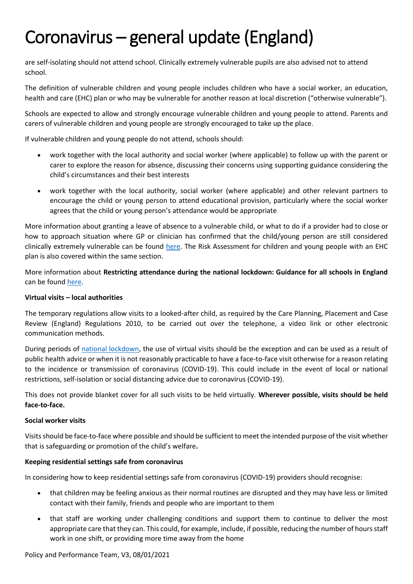are self-isolating should not attend school. Clinically extremely vulnerable pupils are also advised not to attend school.

The definition of vulnerable children and young people includes children who have a social worker, an education, health and care (EHC) plan or who may be vulnerable for another reason at local discretion ("otherwise vulnerable").

Schools are expected to allow and strongly encourage vulnerable children and young people to attend. Parents and carers of vulnerable children and young people are strongly encouraged to take up the place.

If vulnerable children and young people do not attend, schools should:

- work together with the local authority and social worker (where applicable) to follow up with the parent or carer to explore the reason for absence, discussing their concerns using supporting guidance considering the child's circumstances and their best interests
- work together with the local authority, social worker (where applicable) and other relevant partners to encourage the child or young person to attend educational provision, particularly where the social worker agrees that the child or young person's attendance would be appropriate

More information about granting a leave of absence to a vulnerable child, or what to do if a provider had to close or how to approach situation where GP or clinician has confirmed that the child/young person are still considered clinically extremely vulnerable can be found [here.](https://www.gov.uk/government/publications/coronavirus-covid-19-guidance-for-childrens-social-care-services/coronavirus-covid-19-guidance-for-local-authorities-on-childrens-social-care#educational-settings) The Risk Assessment for children and young people with an EHC plan is also covered within the same section.

More information about **Restricting attendance during the national lockdown: Guidance for all schools in England**  can be found [here.](https://assets.publishing.service.gov.uk/government/uploads/system/uploads/attachment_data/file/950510/School_national_restrictions_guidance.pdf)

#### **Virtual visits – local authorities**

The temporary regulations allow visits to a looked-after child, as required by the Care Planning, Placement and Case Review (England) Regulations 2010, to be carried out over the telephone, a video link or other electronic communication methods.

During periods of [national lockdown,](https://www.gov.uk/guidance/national-lockdown-stay-at-home) the use of virtual visits should be the exception and can be used as a result of public health advice or when it is not reasonably practicable to have a face-to-face visit otherwise for a reason relating to the incidence or transmission of coronavirus (COVID-19). This could include in the event of local or national restrictions, self-isolation or social distancing advice due to coronavirus (COVID-19).

This does not provide blanket cover for all such visits to be held virtually. **Wherever possible, visits should be held face-to-face.**

#### **Social worker visits**

Visits should be face-to-face where possible and should be sufficient to meet the intended purpose of the visit whether that is safeguarding or promotion of the child's welfare**.**

### **Keeping residential settings safe from coronavirus**

In considering how to keep residential settings safe from coronavirus (COVID-19) providers should recognise:

- that children may be feeling anxious as their normal routines are disrupted and they may have less or limited contact with their family, friends and people who are important to them
- that staff are working under challenging conditions and support them to continue to deliver the most appropriate care that they can. This could, for example, include, if possible, reducing the number of hours staff work in one shift, or providing more time away from the home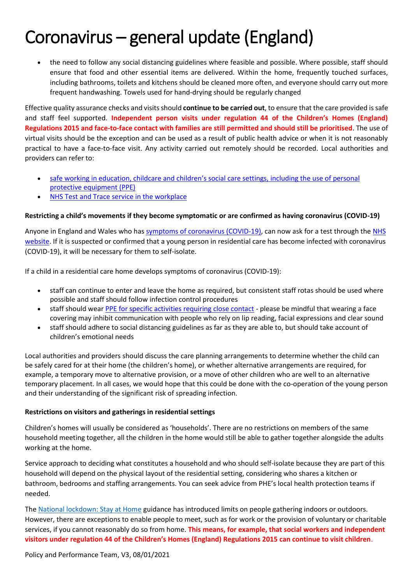the need to follow any social distancing guidelines where feasible and possible. Where possible, staff should ensure that food and other essential items are delivered. Within the home, frequently touched surfaces, including bathrooms, toilets and kitchens should be cleaned more often, and everyone should carry out more frequent handwashing. Towels used for hand-drying should be regularly changed

Effective quality assurance checks and visits should **continue to be carried out**, to ensure that the care provided is safe and staff feel supported. **Independent person visits under regulation 44 of the Children's Homes (England) Regulations 2015 and face-to-face contact with families are still permitted and should still be prioritised**. The use of virtual visits should be the exception and can be used as a result of public health advice or when it is not reasonably practical to have a face-to-face visit. Any activity carried out remotely should be recorded. Local authorities and providers can refer to:

- safe working in education, childcare and children's social care settings, including the use of personal [protective equipment \(PPE\)](https://www.gov.uk/government/publications/safe-working-in-education-childcare-and-childrens-social-care/safe-working-in-education-childcare-and-childrens-social-care-settings-including-the-use-of-personal-protective-equipment-ppe)
- [NHS Test and Trace service in the workplace](https://www.gov.uk/guidance/nhs-test-and-trace-workplace-guidance)

### **Restricting a child's movements if they become symptomatic or are confirmed as having coronavirus (COVID-19)**

Anyone in England and Wales who ha[s symptoms of coronavirus \(COVID-19\),](https://www.nhs.uk/conditions/coronavirus-covid-19/symptoms/) can now ask for a test through the [NHS](https://www.nhs.uk/conditions/coronavirus-covid-19/testing-and-tracing/ask-for-a-test-to-check-if-you-have-coronavirus/)  [website.](https://www.nhs.uk/conditions/coronavirus-covid-19/testing-and-tracing/ask-for-a-test-to-check-if-you-have-coronavirus/) If it is suspected or confirmed that a young person in residential care has become infected with coronavirus (COVID-19), it will be necessary for them to self-isolate.

If a child in a residential care home develops symptoms of coronavirus (COVID-19):

- staff can continue to enter and leave the home as required, but consistent staff rotas should be used where possible and staff should follow infection control procedures
- staff should wear [PPE for specific activities requiring close contact](https://www.gov.uk/government/publications/safe-working-in-education-childcare-and-childrens-social-care/safe-working-in-education-childcare-and-childrens-social-care-settings-including-the-use-of-personal-protective-equipment-ppe) please be mindful that wearing a face covering may inhibit communication with people who rely on lip reading, facial expressions and clear sound
- staff should adhere to social distancing guidelines as far as they are able to, but should take account of children's emotional needs

Local authorities and providers should discuss the care planning arrangements to determine whether the child can be safely cared for at their home (the children's home), or whether alternative arrangements are required, for example, a temporary move to alternative provision, or a move of other children who are well to an alternative temporary placement. In all cases, we would hope that this could be done with the co-operation of the young person and their understanding of the significant risk of spreading infection.

### **Restrictions on visitors and gatherings in residential settings**

Children's homes will usually be considered as 'households'. There are no restrictions on members of the same household meeting together, all the children in the home would still be able to gather together alongside the adults working at the home.

Service approach to deciding what constitutes a household and who should self-isolate because they are part of this household will depend on the physical layout of the residential setting, considering who shares a kitchen or bathroom, bedrooms and staffing arrangements. You can seek advice from PHE's local health protection teams if needed.

The [National lockdown: Stay at Home](https://www.gov.uk/guidance/national-lockdown-stay-at-home) guidance has introduced limits on people gathering indoors or outdoors. However, there are exceptions to enable people to meet, such as for work or the provision of voluntary or charitable services, if you cannot reasonably do so from home. **This means, for example, that social workers and independent visitors under regulation 44 of the Children's Homes (England) Regulations 2015 can continue to visit children**.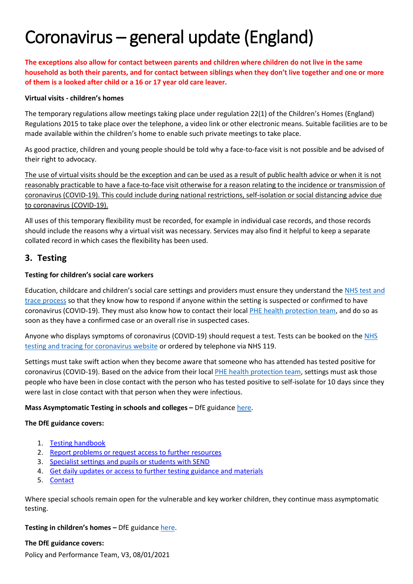**The exceptions also allow for contact between parents and children where children do not live in the same household as both their parents, and for contact between siblings when they don't live together and one or more of them is a looked after child or a 16 or 17 year old care leaver.**

#### **Virtual visits - children's homes**

The temporary regulations allow meetings taking place under regulation 22(1) of the Children's Homes (England) Regulations 2015 to take place over the telephone, a video link or other electronic means. Suitable facilities are to be made available within the children's home to enable such private meetings to take place.

As good practice, children and young people should be told why a face-to-face visit is not possible and be advised of their right to advocacy.

The use of virtual visits should be the exception and can be used as a result of public health advice or when it is not reasonably practicable to have a face-to-face visit otherwise for a reason relating to the incidence or transmission of coronavirus (COVID-19). This could include during national restrictions, self-isolation or social distancing advice due to coronavirus (COVID-19).

All uses of this temporary flexibility must be recorded, for example in individual case records, and those records should include the reasons why a virtual visit was necessary. Services may also find it helpful to keep a separate collated record in which cases the flexibility has been used.

## **3. Testing**

### **Testing for children's social care workers**

Education, childcare and children's social care settings and providers must ensure they understand the [NHS test and](https://www.nhs.uk/conditions/coronavirus-covid-19/testing-for-coronavirus/)  [trace process](https://www.nhs.uk/conditions/coronavirus-covid-19/testing-for-coronavirus/) so that they know how to respond if anyone within the setting is suspected or confirmed to have coronavirus (COVID-19). They must also know how to contact their local [PHE health protection team,](https://www.gov.uk/guidance/contacts-phe-health-protection-teams) and do so as soon as they have a confirmed case or an overall rise in suspected cases.

Anyone who displays symptoms of coronavirus (COVID-19) should request a test. Tests can be booked on the [NHS](https://www.nhs.uk/conditions/coronavirus-covid-19/testing-for-coronavirus/)  [testing and tracing for coronavirus website](https://www.nhs.uk/conditions/coronavirus-covid-19/testing-for-coronavirus/) or ordered by telephone via NHS 119.

Settings must take swift action when they become aware that someone who has attended has tested positive for coronavirus (COVID-19). Based on the advice from their loca[l PHE health protection team,](https://www.gov.uk/guidance/contacts-phe-health-protection-teams) settings must ask those people who have been in close contact with the person who has tested positive to self-isolate for 10 days since they were last in close contact with that person when they were infectious.

### **Mass Asymptomatic Testing in schools and colleges – DfE guidanc[e here.](https://www.gov.uk/guidance/asymptomatic-testing-in-schools-and-colleges)**

### **The DfE guidance covers:**

- 1. [Testing handbook](https://www.gov.uk/guidance/asymptomatic-testing-in-schools-and-colleges#testing-handbook)
- 2. [Report problems or request access to further resources](https://www.gov.uk/guidance/asymptomatic-testing-in-schools-and-colleges#report-problems-or-request-access-to-further-resources)
- 3. [Specialist settings and pupils or students with SEND](https://www.gov.uk/guidance/asymptomatic-testing-in-schools-and-colleges#specialist-settings-and-pupils-or-students-with-send)
- 4. [Get daily updates or access to further testing guidance and materials](https://www.gov.uk/guidance/asymptomatic-testing-in-schools-and-colleges#get-daily-updates-or-access-to-further-testing-guidance-and-materials)
- 5. [Contact](https://www.gov.uk/guidance/asymptomatic-testing-in-schools-and-colleges#contact)

Where special schools remain open for the vulnerable and key worker children, they continue mass asymptomatic testing.

**Testing in children's homes –** DfE guidanc[e here.](https://www.gov.uk/guidance/coronavirus-covid-19-test-kits-for-childrens-homes)

### **The DfE guidance covers:**

Policy and Performance Team, V3, 08/01/2021